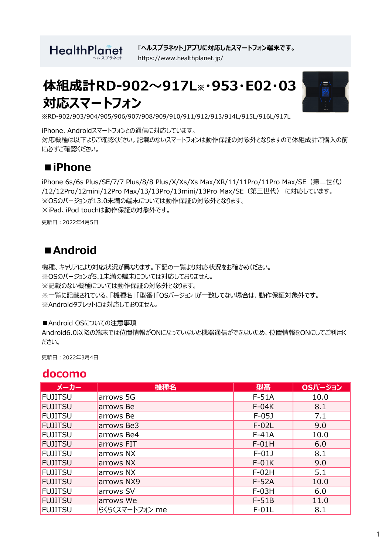**HealthPlanet** 

**「ヘルスプラネット」アプリに対応したスマートフォン端末です。** https://www.healthplanet.jp/

# **体組成計RD-902~917L※・953・E02・03 対応スマートフォン**



※RD-902/903/904/905/906/907/908/909/910/911/912/913/914L/915L/916L/917L

iPhone、Androidスマートフォンとの通信に対応しています。 対応機種は以下よりご確認ください。記載のないスマートフォンは動作保証の対象外となりますので体組成計ご購入の前 に必ずご確認ください。

### **■iPhone**

iPhone 6s/6s Plus/SE/7/7 Plus/8/8 Plus/X/Xs/Xs Max/XR/11/11Pro/11Pro Max/SE(第二世代) /12/12Pro/12mini/12Pro Max/13/13Pro/13mini/13Pro Max/SE(第三世代) に対応しています。 ※OSのバージョンが13.0未満の端末については動作保証の対象外となります。 ※iPad、iPod touchは動作保証の対象外です。

更新日:2022年4月5日

## ■**Android**

機種、キャリアにより対応状況が異なります。下記の一覧より対応状況をお確かめください。 ※OSのバージョンが5.1未満の端末については対応しておりません。 ※記載のない機種については動作保証の対象外となります。 ※一覧に記載されている、「機種名」「型番」「OSバージョン」が一致してない場合は、動作保証対象外です。 ※Androidタブレットには対応しておりません。

■Android OSについての注意事項

Android6.0以降の端末では位置情報がONになっていないと機器通信ができないため、位置情報をONにしてご利用く ださい。

更新日:2022年3月4日

#### **docomo**

| メーカー           | 機種名            | 型番      | OSバージョン |
|----------------|----------------|---------|---------|
| <b>FUJITSU</b> | arrows 5G      | $F-51A$ | 10.0    |
| <b>FUJITSU</b> | arrows Be      | $F-04K$ | 8.1     |
| <b>FUJITSU</b> | arrows Be      | $F-05J$ | 7.1     |
| FUJITSU        | arrows Be3     | $F-02L$ | 9.0     |
| <b>FUJITSU</b> | arrows Be4     | $F-41A$ | 10.0    |
| <b>FUJITSU</b> | arrows FIT     | $F-01H$ | 6.0     |
| <b>FUJITSU</b> | arrows NX      | $F-01J$ | 8.1     |
| <b>FUJITSU</b> | arrows NX      | $F-01K$ | 9.0     |
| <b>FUJITSU</b> | arrows NX      | $F-02H$ | 5.1     |
| <b>FUJITSU</b> | arrows NX9     | $F-52A$ | 10.0    |
| <b>FUJITSU</b> | arrows SV      | $F-03H$ | 6.0     |
| <b>FUJITSU</b> | arrows We      | $F-51B$ | 11.0    |
| <b>FUJITSU</b> | らくらくスマートフォン me | $F-01L$ | 8.1     |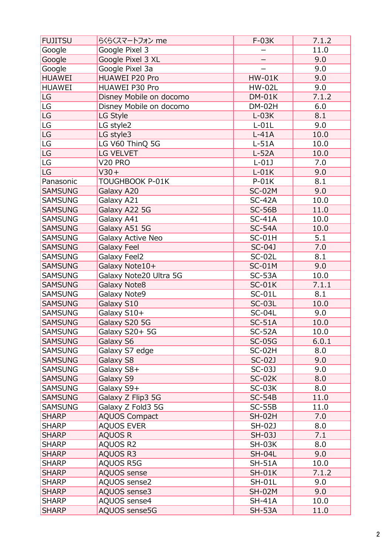| <b>FUJITSU</b>         | らくらくスマートフォン me          | $F-03K$       | 7.1.2 |
|------------------------|-------------------------|---------------|-------|
| Google                 | Google Pixel 3          |               | 11.0  |
| Google                 | Google Pixel 3 XL       | —             | 9.0   |
| Google                 | Google Pixel 3a         |               | 9.0   |
| <b>HUAWEI</b>          | HUAWEI P20 Pro          | <b>HW-01K</b> | 9.0   |
| <b>HUAWEI</b>          | HUAWEI P30 Pro          | <b>HW-02L</b> | 9.0   |
| LG                     | Disney Mobile on docomo | $DM-01K$      | 7.1.2 |
| LG                     | Disney Mobile on docomo | <b>DM-02H</b> | 6.0   |
| LG <sup>T</sup>        | LG Style                | $L-03K$       | 8.1   |
| LG                     | LG style2               | $L-01L$       | 9.0   |
| LG                     | LG style3               | $L-41A$       | 10.0  |
| $\mathsf{L}\mathsf{G}$ | LG V60 ThinQ 5G         | $L-51A$       | 10.0  |
| $\mathsf{L}\mathsf{G}$ | <b>LG VELVET</b>        | $L-52A$       | 10.0  |
| LG                     | <b>V20 PRO</b>          | $L-01J$       | 7.0   |
| LG                     | $V30+$                  | $L-01K$       | 9.0   |
| Panasonic              | TOUGHBOOK P-01K         | $P-01K$       | 8.1   |
| <b>SAMSUNG</b>         | Galaxy A20              | <b>SC-02M</b> | 9.0   |
| <b>SAMSUNG</b>         | Galaxy A21              | $SC-42A$      | 10.0  |
| <b>SAMSUNG</b>         | Galaxy A22 5G           | $SC-56B$      | 11.0  |
| <b>SAMSUNG</b>         | Galaxy A41              | $SC-41A$      |       |
|                        |                         |               | 10.0  |
| <b>SAMSUNG</b>         | Galaxy A51 5G           | $SC-54A$      | 10.0  |
| <b>SAMSUNG</b>         | Galaxy Active Neo       | $SC-01H$      | 5.1   |
| <b>SAMSUNG</b>         | <b>Galaxy Feel</b>      | SC-04J        | 7.0   |
| <b>SAMSUNG</b>         | Galaxy Feel2            | <b>SC-02L</b> | 8.1   |
| <b>SAMSUNG</b>         | Galaxy Note10+          | $SC-01M$      | 9.0   |
| <b>SAMSUNG</b>         | Galaxy Note20 Ultra 5G  | $SC-53A$      | 10.0  |
| <b>SAMSUNG</b>         | Galaxy Note8            | $SC-01K$      | 7.1.1 |
| <b>SAMSUNG</b>         | Galaxy Note9            | $SC-01L$      | 8.1   |
| <b>SAMSUNG</b>         | Galaxy S10              | <b>SC-03L</b> | 10.0  |
| <b>SAMSUNG</b>         | Galaxy S10+             | <b>SC-04L</b> | 9.0   |
| <b>SAMSUNG</b>         | Galaxy S20 5G           | $SC-51A$      | 10.0  |
| <b>SAMSUNG</b>         | Galaxy $S20+5G$         | $SC-52A$      | 10.0  |
| <b>SAMSUNG</b>         | Galaxy S6               | <b>SC-05G</b> | 6.0.1 |
| <b>SAMSUNG</b>         | Galaxy S7 edge          | $SC-02H$      | 8.0   |
| <b>SAMSUNG</b>         | Galaxy S8               | $SC-02J$      | 9.0   |
| <b>SAMSUNG</b>         | Galaxy S8+              | SC-03J        | 9.0   |
| <b>SAMSUNG</b>         | Galaxy S9               | $SC-02K$      | 8.0   |
| <b>SAMSUNG</b>         | Galaxy S9+              | $SC-03K$      | 8.0   |
| <b>SAMSUNG</b>         | Galaxy Z Flip3 5G       | $SC-54B$      | 11.0  |
| <b>SAMSUNG</b>         | Galaxy Z Fold3 5G       | $SC-55B$      | 11.0  |
| <b>SHARP</b>           | <b>AQUOS Compact</b>    | <b>SH-02H</b> | 7.0   |
| <b>SHARP</b>           | <b>AQUOS EVER</b>       | SH-02J        | 8.0   |
| <b>SHARP</b>           | AQUOS R                 | SH-03J        | 7.1   |
| <b>SHARP</b>           | AQUOS R2                | <b>SH-03K</b> | 8.0   |
| <b>SHARP</b>           | AQUOS R3                | <b>SH-04L</b> | 9.0   |
| <b>SHARP</b>           | AQUOS R5G               | <b>SH-51A</b> | 10.0  |
| <b>SHARP</b>           | <b>AQUOS</b> sense      | $SH-01K$      | 7.1.2 |
| <b>SHARP</b>           | AQUOS sense2            | <b>SH-01L</b> | 9.0   |
| <b>SHARP</b>           | AQUOS sense3            | <b>SH-02M</b> | 9.0   |
| <b>SHARP</b>           | AQUOS sense4            | $SH-41A$      | 10.0  |
| <b>SHARP</b>           | AQUOS sense5G           | <b>SH-53A</b> | 11.0  |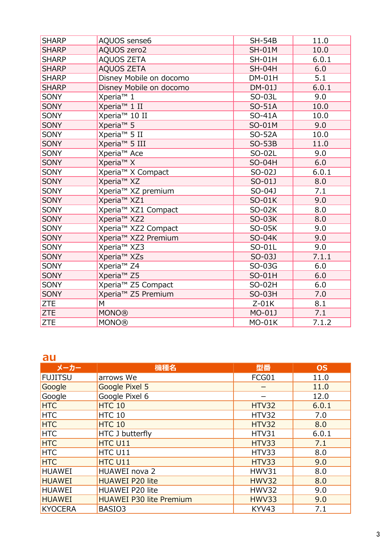| <b>SHARP</b> | AQUOS sense6                    | <b>SH-54B</b> | 11.0  |
|--------------|---------------------------------|---------------|-------|
| <b>SHARP</b> | <b>AQUOS zero2</b>              | <b>SH-01M</b> | 10.0  |
| <b>SHARP</b> | <b>AQUOS ZETA</b>               | <b>SH-01H</b> | 6.0.1 |
| <b>SHARP</b> | <b>AQUOS ZETA</b>               | <b>SH-04H</b> | 6.0   |
| <b>SHARP</b> | Disney Mobile on docomo         | $DM-01H$      | 5.1   |
| <b>SHARP</b> | Disney Mobile on docomo         | DM-01J        | 6.0.1 |
| <b>SONY</b>  | Xperia <sup>™</sup> 1           | SO-03L        | 9.0   |
| <b>SONY</b>  | Xperia <sup>™</sup> 1 II        | SO-51A        | 10.0  |
| SONY         | Xperia <sup>™</sup> 10 II       | SO-41A        | 10.0  |
| <b>SONY</b>  | Xperia <sup>™</sup> 5           | SO-01M        | 9.0   |
| SONY         | Xperia <sup>™</sup> 5 II        | SO-52A        | 10.0  |
| <b>SONY</b>  | Xperia <sup>™</sup> 5 III       | <b>SO-53B</b> | 11.0  |
| SONY         | Xperia <sup>™</sup> Ace         | SO-02L        | 9.0   |
| <b>SONY</b>  | Xperia <sup>™</sup> X           | <b>SO-04H</b> | 6.0   |
| SONY         | Xperia <sup>™</sup> X Compact   | SO-02J        | 6.0.1 |
| <b>SONY</b>  | Xperia <sup>™</sup> XZ          | SO-01J        | 8.0   |
| SONY         | Xperia <sup>™</sup> XZ premium  | SO-04J        | 7.1   |
| <b>SONY</b>  | Xperia <sup>™</sup> XZ1         | SO-01K        | 9.0   |
| <b>SONY</b>  | Xperia <sup>™</sup> XZ1 Compact | SO-02K        | 8.0   |
| <b>SONY</b>  | Xperia <sup>™</sup> XZ2         | SO-03K        | 8.0   |
| SONY         | Xperia <sup>™</sup> XZ2 Compact | SO-05K        | 9.0   |
| <b>SONY</b>  | Xperia <sup>™</sup> XZ2 Premium | SO-04K        | 9.0   |
| <b>SONY</b>  | Xperia <sup>™</sup> XZ3         | SO-01L        | 9.0   |
| <b>SONY</b>  | Xperia <sup>™</sup> XZs         | SO-03J        | 7.1.1 |
| <b>SONY</b>  | Xperia <sup>™</sup> Z4          | SO-03G        | 6.0   |
| SONY         | Xperia <sup>™</sup> Z5          | SO-01H        | 6.0   |
| SONY         | Xperia <sup>™</sup> Z5 Compact  | SO-02H        | 6.0   |
| <b>SONY</b>  | Xperia <sup>™</sup> Z5 Premium  | SO-03H        | 7.0   |
| <b>ZTE</b>   | M                               | $Z-01K$       | 8.1   |
| <b>ZTE</b>   | <b>MONO®</b>                    | MO-01J        | 7.1   |
| <b>ZTE</b>   | <b>MONO®</b>                    | <b>MO-01K</b> | 7.1.2 |

#### **au**

| メーカー           | 機種名                            | 型番           | <b>OS</b> |
|----------------|--------------------------------|--------------|-----------|
| <b>FUJITSU</b> | arrows We                      | FCG01        | 11.0      |
| Google         | Google Pixel 5                 |              | 11.0      |
| Google         | Google Pixel 6                 |              | 12.0      |
| <b>HTC</b>     | HTC 10                         | <b>HTV32</b> | 6.0.1     |
| <b>HTC</b>     | HTC 10                         | HTV32        | 7.0       |
| <b>HTC</b>     | HTC 10                         | <b>HTV32</b> | 8.0       |
| <b>HTC</b>     | <b>HTC J butterfly</b>         | HTV31        | 6.0.1     |
| <b>HTC</b>     | HTC U11                        | HTV33        | 7.1       |
| <b>HTC</b>     | HTC U11                        | HTV33        | 8.0       |
| <b>HTC</b>     | HTC U11                        | HTV33        | 9.0       |
| <b>HUAWEI</b>  | HUAWEI nova 2                  | <b>HWV31</b> | 8.0       |
| <b>HUAWEI</b>  | <b>HUAWEI P20 lite</b>         | <b>HWV32</b> | 8.0       |
| <b>HUAWEI</b>  | HUAWEI P20 lite                | <b>HWV32</b> | 9.0       |
| <b>HUAWEI</b>  | <b>HUAWEI P30 lite Premium</b> | <b>HWV33</b> | 9.0       |
| <b>KYOCERA</b> | BASIO3                         | KYV43        | 7.1       |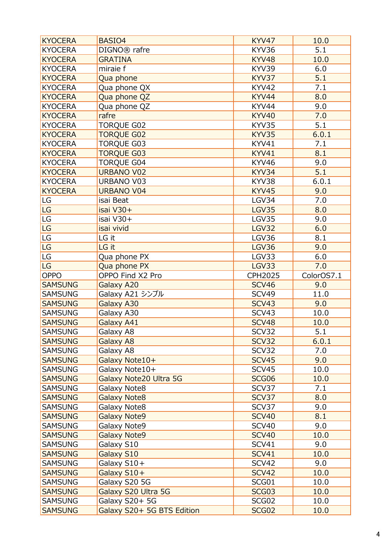| <b>KYOCERA</b>                   | BASIO4                                       | KYV47                 | 10.0         |
|----------------------------------|----------------------------------------------|-----------------------|--------------|
| <b>KYOCERA</b>                   | DIGNO <sup>®</sup> rafre                     | KYV36                 | 5.1          |
| <b>KYOCERA</b>                   | <b>GRATINA</b>                               | KYV48                 | 10.0         |
| <b>KYOCERA</b>                   | miraie f                                     | KYV39                 | 6.0          |
| <b>KYOCERA</b>                   | Qua phone                                    | KYV37                 | 5.1          |
| <b>KYOCERA</b>                   | Qua phone QX                                 | <b>KYV42</b>          | 7.1          |
| <b>KYOCERA</b>                   | Qua phone QZ                                 | KYV44                 | 8.0          |
| <b>KYOCERA</b>                   | Qua phone QZ                                 | KYV44                 | 9.0          |
| <b>KYOCERA</b>                   | rafre                                        | <b>KYV40</b>          | 7.0          |
| <b>KYOCERA</b>                   | <b>TORQUE G02</b>                            | KYV35                 | 5.1          |
| <b>KYOCERA</b>                   | <b>TORQUE G02</b>                            | KYV35                 | 6.0.1        |
| <b>KYOCERA</b>                   | <b>TORQUE G03</b>                            | KYV41                 | 7.1          |
| <b>KYOCERA</b>                   | <b>TORQUE G03</b>                            | KYV41                 | 8.1          |
| <b>KYOCERA</b>                   | <b>TORQUE G04</b>                            | KYV46                 | 9.0          |
| <b>KYOCERA</b>                   | <b>URBANO V02</b>                            | KYV34                 | 5.1          |
| <b>KYOCERA</b>                   | <b>URBANO V03</b>                            | KYV38                 | 6.0.1        |
| <b>KYOCERA</b>                   | <b>URBANO V04</b>                            | <b>KYV45</b>          | 9.0          |
| LG                               | isai Beat                                    | LGV34                 | 7.0          |
| LG                               | isai V30+                                    | <b>LGV35</b>          | 8.0          |
| LG                               | isai V30+                                    | LGV35                 | 9.0          |
| LG                               | isai vivid                                   | LGV32                 | 6.0          |
| $\mathsf{LG}$                    | LG it                                        | LGV36                 | 8.1          |
| LG                               | LG it                                        | <b>LGV36</b>          | 9.0          |
| $\mathsf{LG}$                    | Qua phone PX                                 | LGV33                 | 6.0          |
| LG                               |                                              | <b>LGV33</b>          | 7.0          |
|                                  | Qua phone PX                                 |                       |              |
|                                  |                                              |                       |              |
| <b>OPPO</b>                      | OPPO Find X2 Pro                             | <b>CPH2025</b>        | ColorOS7.1   |
| <b>SAMSUNG</b>                   | Galaxy A20                                   | <b>SCV46</b>          | 9.0          |
| <b>SAMSUNG</b>                   | Galaxy A21 シンプル                              | SCV49                 | 11.0         |
| <b>SAMSUNG</b>                   | Galaxy A30                                   | <b>SCV43</b>          | 9.0          |
| <b>SAMSUNG</b>                   | Galaxy A30                                   | SCV43                 | 10.0         |
| <b>SAMSUNG</b>                   | Galaxy A41                                   | <b>SCV48</b>          | 10.0         |
| <b>SAMSUNG</b>                   | Galaxy A8                                    | SCV32                 | 5.1          |
| <b>SAMSUNG</b>                   | Galaxy A8                                    | <b>SCV32</b>          | 6.0.1        |
| <b>SAMSUNG</b>                   | Galaxy A8                                    | SCV32                 | 7.0          |
| <b>SAMSUNG</b>                   | Galaxy Note10+                               | <b>SCV45</b>          | 9.0          |
| <b>SAMSUNG</b>                   | Galaxy Note10+                               | SCV45                 | 10.0         |
| <b>SAMSUNG</b>                   | Galaxy Note20 Ultra 5G                       | SCG06                 | 10.0         |
| <b>SAMSUNG</b>                   | Galaxy Note8                                 | SCV37                 | 7.1          |
| <b>SAMSUNG</b>                   | <b>Galaxy Note8</b>                          | SCV37                 | 8.0          |
| <b>SAMSUNG</b>                   | Galaxy Note8                                 | SCV37                 | 9.0          |
| <b>SAMSUNG</b>                   | Galaxy Note9                                 | <b>SCV40</b>          | 8.1          |
| <b>SAMSUNG</b>                   | Galaxy Note9                                 | SCV40                 | 9.0          |
| <b>SAMSUNG</b>                   | <b>Galaxy Note9</b>                          | <b>SCV40</b>          | 10.0         |
| <b>SAMSUNG</b>                   | Galaxy S10                                   | SCV41                 | 9.0          |
| <b>SAMSUNG</b>                   | Galaxy S10                                   | <b>SCV41</b>          | 10.0         |
| <b>SAMSUNG</b>                   | Galaxy S10+                                  | SCV42                 | 9.0          |
| <b>SAMSUNG</b>                   | Galaxy S10+                                  | <b>SCV42</b>          | 10.0         |
| <b>SAMSUNG</b>                   | Galaxy S20 5G                                | SCG01                 | 10.0         |
| <b>SAMSUNG</b>                   | Galaxy S20 Ultra 5G                          | <b>SCG03</b>          | 10.0         |
| <b>SAMSUNG</b><br><b>SAMSUNG</b> | Galaxy S20+ 5G<br>Galaxy S20+ 5G BTS Edition | SCG02<br><b>SCG02</b> | 10.0<br>10.0 |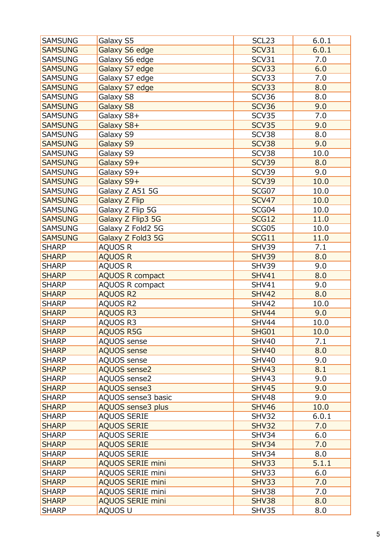| <b>SAMSUNG</b> | Galaxy S5                | SCL <sub>23</sub> | 6.0.1 |
|----------------|--------------------------|-------------------|-------|
| <b>SAMSUNG</b> | Galaxy S6 edge           | SCV31             | 6.0.1 |
| <b>SAMSUNG</b> | Galaxy S6 edge           | SCV31             | 7.0   |
| <b>SAMSUNG</b> | Galaxy S7 edge           | <b>SCV33</b>      | 6.0   |
| <b>SAMSUNG</b> | Galaxy S7 edge           | SCV33             | 7.0   |
|                |                          |                   |       |
| <b>SAMSUNG</b> | Galaxy S7 edge           | SCV33             | 8.0   |
| <b>SAMSUNG</b> | Galaxy S8                | SCV36             | 8.0   |
| <b>SAMSUNG</b> | Galaxy S8                | <b>SCV36</b>      | 9.0   |
| <b>SAMSUNG</b> | Galaxy S8+               | SCV35             | 7.0   |
| <b>SAMSUNG</b> | Galaxy S8+               | <b>SCV35</b>      | 9.0   |
| <b>SAMSUNG</b> | Galaxy S9                | SCV38             | 8.0   |
| <b>SAMSUNG</b> | Galaxy S9                | SCV38             | 9.0   |
| <b>SAMSUNG</b> | Galaxy S9                | SCV38             | 10.0  |
| <b>SAMSUNG</b> | Galaxy S9+               | <b>SCV39</b>      | 8.0   |
| <b>SAMSUNG</b> | Galaxy S9+               | SCV39             | 9.0   |
| <b>SAMSUNG</b> | Galaxy S9+               | <b>SCV39</b>      | 10.0  |
| <b>SAMSUNG</b> | Galaxy Z A51 5G          | SCG07             | 10.0  |
| <b>SAMSUNG</b> | <b>Galaxy Z Flip</b>     | <b>SCV47</b>      | 10.0  |
| <b>SAMSUNG</b> | Galaxy Z Flip 5G         | SCG04             | 10.0  |
| <b>SAMSUNG</b> | Galaxy Z Flip3 5G        | <b>SCG12</b>      | 11.0  |
| <b>SAMSUNG</b> | Galaxy Z Fold2 5G        | SCG05             | 10.0  |
| <b>SAMSUNG</b> | Galaxy Z Fold3 5G        | SCG11             | 11.0  |
| <b>SHARP</b>   | AQUOS R                  | SHV39             | 7.1   |
| <b>SHARP</b>   | <b>AQUOS R</b>           | <b>SHV39</b>      | 8.0   |
| <b>SHARP</b>   | <b>AQUOS R</b>           | <b>SHV39</b>      | 9.0   |
| <b>SHARP</b>   | <b>AQUOS R compact</b>   | <b>SHV41</b>      | 8.0   |
| <b>SHARP</b>   | <b>AQUOS R compact</b>   | <b>SHV41</b>      | 9.0   |
| <b>SHARP</b>   | <b>AQUOS R2</b>          | <b>SHV42</b>      | 8.0   |
| <b>SHARP</b>   | AQUOS R2                 | <b>SHV42</b>      | 10.0  |
| <b>SHARP</b>   | <b>AQUOS R3</b>          | <b>SHV44</b>      | 9.0   |
| <b>SHARP</b>   | AQUOS R3                 | <b>SHV44</b>      | 10.0  |
| <b>SHARP</b>   | <b>AQUOS R5G</b>         | SHG01             | 10.0  |
| <b>SHARP</b>   |                          | <b>SHV40</b>      | 7.1   |
|                | AQUOS sense              |                   |       |
| <b>SHARP</b>   | <b>AQUOS sense</b>       | <b>SHV40</b>      | 8.0   |
| <b>SHARP</b>   | <b>AQUOS sense</b>       | <b>SHV40</b>      | 9.0   |
| <b>SHARP</b>   | <b>AQUOS sense2</b>      | <b>SHV43</b>      | 8.1   |
| <b>SHARP</b>   | AQUOS sense2             | <b>SHV43</b>      | 9.0   |
| <b>SHARP</b>   | <b>AQUOS sense3</b>      | <b>SHV45</b>      | 9.0   |
| <b>SHARP</b>   | AQUOS sense3 basic       | <b>SHV48</b>      | 9.0   |
| <b>SHARP</b>   | <b>AQUOS sense3 plus</b> | <b>SHV46</b>      | 10.0  |
| <b>SHARP</b>   | <b>AQUOS SERIE</b>       | <b>SHV32</b>      | 6.0.1 |
| <b>SHARP</b>   | <b>AQUOS SERIE</b>       | <b>SHV32</b>      | 7.0   |
| <b>SHARP</b>   | <b>AQUOS SERIE</b>       | SHV34             | 6.0   |
| <b>SHARP</b>   | <b>AQUOS SERIE</b>       | <b>SHV34</b>      | 7.0   |
| <b>SHARP</b>   | <b>AQUOS SERIE</b>       | SHV34             | 8.0   |
| <b>SHARP</b>   | <b>AQUOS SERIE mini</b>  | <b>SHV33</b>      | 5.1.1 |
| <b>SHARP</b>   | <b>AQUOS SERIE mini</b>  | SHV33             | 6.0   |
| <b>SHARP</b>   | <b>AQUOS SERIE mini</b>  | <b>SHV33</b>      | 7.0   |
| <b>SHARP</b>   | <b>AQUOS SERIE mini</b>  | SHV38             | 7.0   |
| <b>SHARP</b>   | <b>AQUOS SERIE mini</b>  | <b>SHV38</b>      | 8.0   |
| <b>SHARP</b>   | AQUOS U                  | SHV35             | 8.0   |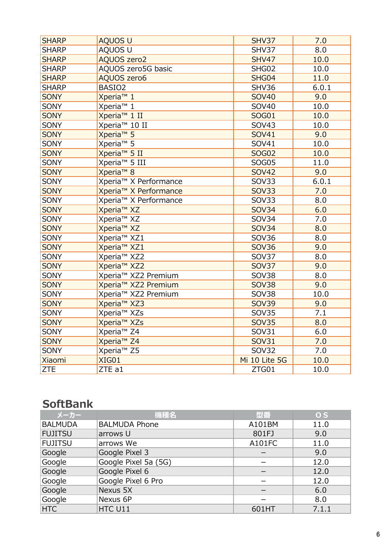| <b>SHARP</b> | <b>AQUOS U</b>                    | SHV37         | 7.0   |
|--------------|-----------------------------------|---------------|-------|
| <b>SHARP</b> | AQUOS U                           | SHV37         | 8.0   |
| <b>SHARP</b> | <b>AQUOS zero2</b>                | <b>SHV47</b>  | 10.0  |
| <b>SHARP</b> | AQUOS zero5G basic                | SHG02         | 10.0  |
| <b>SHARP</b> | <b>AQUOS zero6</b>                | SHG04         | 11.0  |
| <b>SHARP</b> | BASIO <sub>2</sub>                | <b>SHV36</b>  | 6.0.1 |
| <b>SONY</b>  | Xperia <sup>™</sup> 1             | <b>SOV40</b>  | 9.0   |
| <b>SONY</b>  | Xperia <sup>™</sup> 1             | SOV40         | 10.0  |
| <b>SONY</b>  | Xperia <sup>™</sup> 1 II          | <b>SOG01</b>  | 10.0  |
| <b>SONY</b>  | Xperia <sup>™</sup> 10 II         | <b>SOV43</b>  | 10.0  |
| <b>SONY</b>  | Xperia <sup>™</sup> 5             | <b>SOV41</b>  | 9.0   |
| SONY         | Xperia <sup>™</sup> 5             | SOV41         | 10.0  |
| <b>SONY</b>  | Xperia <sup>™</sup> 5 II          | <b>SOG02</b>  | 10.0  |
| <b>SONY</b>  | Xperia <sup>™</sup> 5 III         | <b>SOG05</b>  | 11.0  |
| <b>SONY</b>  | Xperia <sup>™</sup> 8             | <b>SOV42</b>  | 9.0   |
| <b>SONY</b>  | Xperia <sup>™</sup> X Performance | <b>SOV33</b>  | 6.0.1 |
| <b>SONY</b>  | Xperia <sup>™</sup> X Performance | <b>SOV33</b>  | 7.0   |
| SONY         | Xperia <sup>™</sup> X Performance | <b>SOV33</b>  | 8.0   |
| <b>SONY</b>  | Xperia <sup>™</sup> XZ            | <b>SOV34</b>  | 6.0   |
| SONY         | Xperia <sup>™</sup> XZ            | <b>SOV34</b>  | 7.0   |
| <b>SONY</b>  | Xperia <sup>™</sup> XZ            | <b>SOV34</b>  | 8.0   |
| SONY         | Xperia <sup>™</sup> XZ1           | <b>SOV36</b>  | 8.0   |
| <b>SONY</b>  | Xperia <sup>™</sup> XZ1           | <b>SOV36</b>  | 9.0   |
| <b>SONY</b>  | Xperia <sup>™</sup> XZ2           | <b>SOV37</b>  | 8.0   |
| <b>SONY</b>  | Xperia <sup>™</sup> XZ2           | <b>SOV37</b>  | 9.0   |
| SONY         | Xperia <sup>™</sup> XZ2 Premium   | <b>SOV38</b>  | 8.0   |
| <b>SONY</b>  | Xperia <sup>™</sup> XZ2 Premium   | <b>SOV38</b>  | 9.0   |
| SONY         | Xperia <sup>™</sup> XZ2 Premium   | <b>SOV38</b>  | 10.0  |
| <b>SONY</b>  | Xperia <sup>™</sup> XZ3           | <b>SOV39</b>  | 9.0   |
| <b>SONY</b>  | Xperia <sup>™</sup> XZs           | <b>SOV35</b>  | 7.1   |
| <b>SONY</b>  | Xperia <sup>™</sup> XZs           | <b>SOV35</b>  | 8.0   |
| <b>SONY</b>  | Xperia <sup>™</sup> Z4            | SOV31         | 6.0   |
| <b>SONY</b>  | Xperia <sup>™</sup> Z4            | <b>SOV31</b>  | 7.0   |
| <b>SONY</b>  | Xperia <sup>™</sup> Z5            | <b>SOV32</b>  | 7.0   |
| Xiaomi       | <b>XIG01</b>                      | Mi 10 Lite 5G | 10.0  |
| <b>ZTE</b>   | ZTE a1                            | ZTG01         | 10.0  |

## **SoftBank**

| メーカー           | 機種名                  | 型番     | 0 <sub>S</sub> |
|----------------|----------------------|--------|----------------|
| <b>BALMUDA</b> | <b>BALMUDA Phone</b> | A101BM | 11.0           |
| <b>FUJITSU</b> | arrows U             | 801FJ  | 9.0            |
| <b>FUJITSU</b> | arrows We            | A101FC | 11.0           |
| Google         | Google Pixel 3       |        | 9.0            |
| Google         | Google Pixel 5a (5G) |        | 12.0           |
| Google         | Google Pixel 6       |        | 12.0           |
| Google         | Google Pixel 6 Pro   |        | 12.0           |
| Google         | Nexus 5X             |        | 6.0            |
| Google         | Nexus 6P             |        | 8.0            |
| <b>HTC</b>     | HTC U11              | 601HT  | 7.1.1          |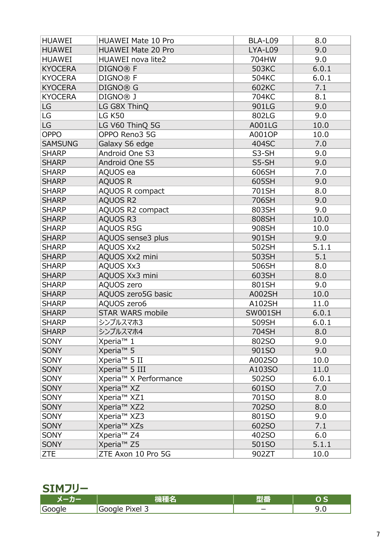| <b>HUAWEI</b>  | <b>HUAWEI Mate 10 Pro</b>         | BLA-L09        | 8.0   |
|----------------|-----------------------------------|----------------|-------|
| <b>HUAWEI</b>  | <b>HUAWEI Mate 20 Pro</b>         | LYA-L09        | 9.0   |
| <b>HUAWEI</b>  | HUAWEI nova lite2                 | 704HW          | 9.0   |
| <b>KYOCERA</b> | DIGNO <sup>®</sup> F              | 503KC          | 6.0.1 |
| <b>KYOCERA</b> | DIGNO <sup>®</sup> F              | 504KC          | 6.0.1 |
| <b>KYOCERA</b> | DIGNO® G                          | 602KC          | 7.1   |
| <b>KYOCERA</b> | DIGNO <sup>®</sup> J              | 704KC          | 8.1   |
| LG             | LG G8X ThinQ                      | 901LG          | 9.0   |
| LG             | <b>LG K50</b>                     | 802LG          | 9.0   |
| LG             | LG V60 ThinQ 5G                   | A001LG         | 10.0  |
| OPPO           | OPPO Reno3 5G                     | A001OP         | 10.0  |
| <b>SAMSUNG</b> | Galaxy S6 edge                    | 404SC          | 7.0   |
| <b>SHARP</b>   | Android One S3                    | S3-SH          | 9.0   |
| <b>SHARP</b>   | Android One S5                    | S5-SH          | 9.0   |
| <b>SHARP</b>   | AQUOS ea                          | 606SH          | 7.0   |
| <b>SHARP</b>   | <b>AQUOS R</b>                    | 605SH          | 9.0   |
| <b>SHARP</b>   | AQUOS R compact                   | 701SH          | 8.0   |
| <b>SHARP</b>   | <b>AQUOS R2</b>                   | 706SH          | 9.0   |
| <b>SHARP</b>   | AQUOS R2 compact                  | 803SH          | 9.0   |
| <b>SHARP</b>   | <b>AQUOS R3</b>                   | 808SH          | 10.0  |
| <b>SHARP</b>   | <b>AQUOS R5G</b>                  | 908SH          | 10.0  |
| <b>SHARP</b>   | AQUOS sense3 plus                 | 901SH          | 9.0   |
| <b>SHARP</b>   | <b>AQUOS Xx2</b>                  | 502SH          | 5.1.1 |
| <b>SHARP</b>   | AQUOS Xx2 mini                    | 503SH          | 5.1   |
| <b>SHARP</b>   | <b>AQUOS Xx3</b>                  | 506SH          | 8.0   |
| <b>SHARP</b>   | AQUOS Xx3 mini                    | 603SH          | 8.0   |
| <b>SHARP</b>   | AQUOS zero                        | 801SH          | 9.0   |
| <b>SHARP</b>   | AQUOS zero5G basic                | <b>A002SH</b>  | 10.0  |
| <b>SHARP</b>   | AQUOS zero6                       | A102SH         | 11.0  |
| <b>SHARP</b>   | <b>STAR WARS mobile</b>           | <b>SW001SH</b> | 6.0.1 |
| <b>SHARP</b>   | シンプルスマホ3                          | 509SH          | 6.0.1 |
| <b>SHARP</b>   | シンプルスマホ4                          | 704SH          | 8.0   |
| <b>SONY</b>    | Xperia <sup>™</sup> 1             | 802SO          | 9.0   |
| <b>SONY</b>    | Xperia <sup>™</sup> 5             | 901SO          | 9.0   |
| <b>SONY</b>    | Xperia <sup>™</sup> 5 II          | A002SO         | 10.0  |
| <b>SONY</b>    | Xperia <sup>™</sup> 5 III         | A103SO         | 11.0  |
| <b>SONY</b>    | Xperia <sup>™</sup> X Performance | 502SO          | 6.0.1 |
| <b>SONY</b>    | Xperia <sup>™</sup> XZ            | 601SO          | 7.0   |
| <b>SONY</b>    | Xperia <sup>™</sup> XZ1           | 701SO          | 8.0   |
| <b>SONY</b>    | Xperia <sup>™</sup> XZ2           | 702SO          | 8.0   |
| <b>SONY</b>    | Xperia <sup>™</sup> XZ3           | 801SO          | 9.0   |
| <b>SONY</b>    | Xperia <sup>™</sup> XZs           | 602SO          | 7.1   |
| <b>SONY</b>    | Xperia <sup>™</sup> Z4            | 402SO          | 6.0   |
| <b>SONY</b>    | Xperia <sup>™</sup> Z5            | 501SO          | 5.1.1 |
| <b>ZTE</b>     | ZTE Axon 10 Pro 5G                | 902ZT          | 10.0  |

## **SIMフリー**

| ______         |          |               |  |
|----------------|----------|---------------|--|
|                |          | 77 E 77<br>40 |  |
| lGoi<br>$\sim$ | ି Ixel ଏ |               |  |
|                |          |               |  |